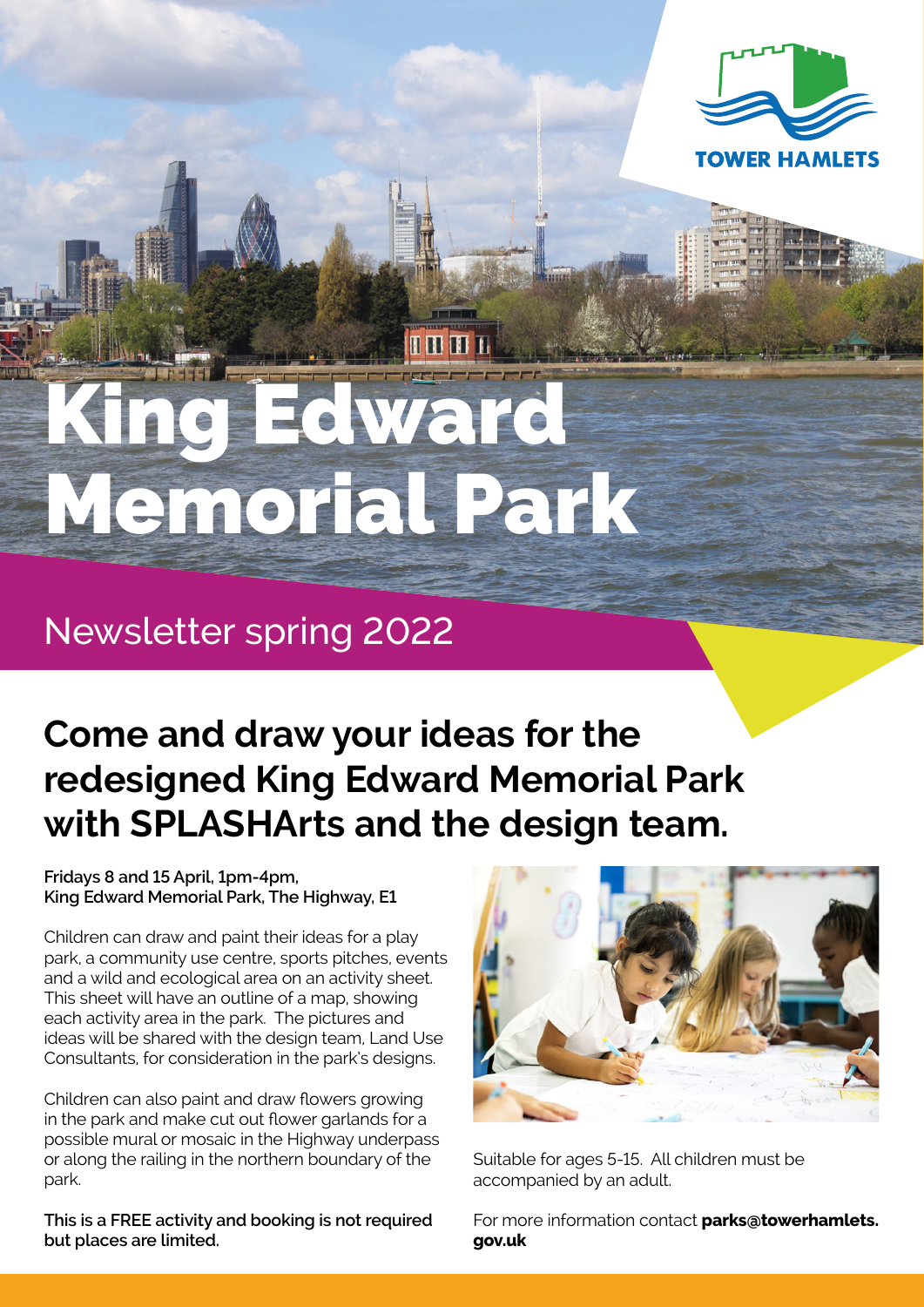

# **Edward** Memorial Park

## Newsletter spring 2022

## **Come and draw your ideas for the redesigned King Edward Memorial Park with SPLASHArts and the design team.**

#### **Fridays 8 and 15 April, 1pm-4pm, King Edward Memorial Park, The Highway, E1**

Children can draw and paint their ideas for a play park, a community use centre, sports pitches, events and a wild and ecological area on an activity sheet. This sheet will have an outline of a map, showing each activity area in the park. The pictures and ideas will be shared with the design team, Land Use Consultants, for consideration in the park's designs.

Children can also paint and draw flowers growing in the park and make cut out flower garlands for a possible mural or mosaic in the Highway underpass or along the railing in the northern boundary of the park.

**This is a FREE activity and booking is not required but places are limited.** 



Suitable for ages 5-15. All children must be accompanied by an adult.

For more information contact **parks@towerhamlets. gov.uk**